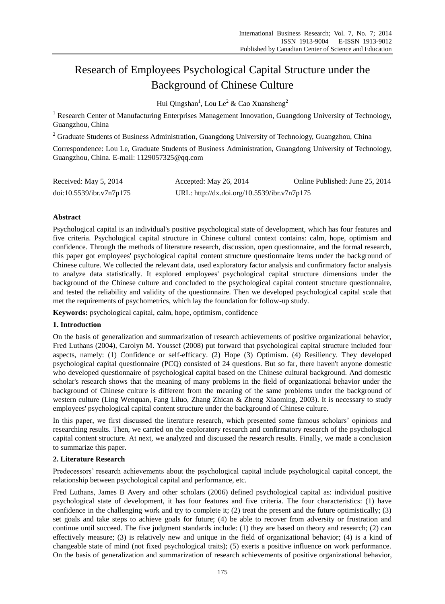# Research of Employees Psychological Capital Structure under the Background of Chinese Culture

Hui Qingshan<sup>1</sup>, Lou Le<sup>2</sup> & Cao Xuansheng<sup>2</sup>

<sup>1</sup> Research Center of Manufacturing Enterprises Management Innovation, Guangdong University of Technology, Guangzhou, China

<sup>2</sup> Graduate Students of Business Administration, Guangdong University of Technology, Guangzhou, China

Correspondence: Lou Le, Graduate Students of Business Administration, Guangdong University of Technology, Guangzhou, China. E-mail: 1129057325@qq.com

| Received: May 5, 2014    | Accepted: May 26, 2014                      | Online Published: June 25, 2014 |
|--------------------------|---------------------------------------------|---------------------------------|
| doi:10.5539/ibr.v7n7p175 | URL: http://dx.doi.org/10.5539/ibr.v7n7p175 |                                 |

## **Abstract**

Psychological capital is an individual's positive psychological state of development, which has four features and five criteria. Psychological capital structure in Chinese cultural context contains: calm, hope, optimism and confidence. Through the methods of literature research, discussion, open questionnaire, and the formal research, this paper got employees' psychological capital content structure questionnaire items under the background of Chinese culture. We collected the relevant data, used exploratory factor analysis and confirmatory factor analysis to analyze data statistically. It explored employees' psychological capital structure dimensions under the background of the Chinese culture and concluded to the psychological capital content structure questionnaire, and tested the reliability and validity of the questionnaire. Then we developed psychological capital scale that met the requirements of psychometrics, which lay the foundation for follow-up study.

**Keywords:** psychological capital, calm, hope, optimism, confidence

## **1. Introduction**

On the basis of generalization and summarization of research achievements of positive organizational behavior, Fred Luthans (2004), Carolyn M. Youssef (2008) put forward that psychological capital structure included four aspects, namely: (1) Confidence or self-efficacy. (2) Hope (3) Optimism. (4) Resiliency. They developed psychological capital questionnaire (PCQ) consisted of 24 questions. But so far, there haven't anyone domestic who developed questionnaire of psychological capital based on the Chinese cultural background. And domestic scholar's research shows that the meaning of many problems in the field of organizational behavior under the background of Chinese culture is different from the meaning of the same problems under the background of western culture (Ling Wenquan, Fang Liluo, Zhang Zhican & Zheng Xiaoming, 2003). It is necessary to study employees' psychological capital content structure under the background of Chinese culture.

In this paper, we first discussed the literature research, which presented some famous scholars' opinions and researching results. Then, we carried on the exploratory research and confirmatory research of the psychological capital content structure. At next, we analyzed and discussed the research results. Finally, we made a conclusion to summarize this paper.

## **2. Literature Research**

Predecessors' research achievements about the psychological capital include psychological capital concept, the relationship between psychological capital and performance, etc.

Fred Luthans, James B Avery and other scholars (2006) defined psychological capital as: individual positive psychological state of development, it has four features and five criteria. The four characteristics: (1) have confidence in the challenging work and try to complete it; (2) treat the present and the future optimistically; (3) set goals and take steps to achieve goals for future; (4) be able to recover from adversity or frustration and continue until succeed. The five judgment standards include: (1) they are based on theory and research; (2) can effectively measure; (3) is relatively new and unique in the field of organizational behavior; (4) is a kind of changeable state of mind (not fixed psychological traits); (5) exerts a positive influence on work performance. On the basis of generalization and summarization of research achievements of positive organizational behavior,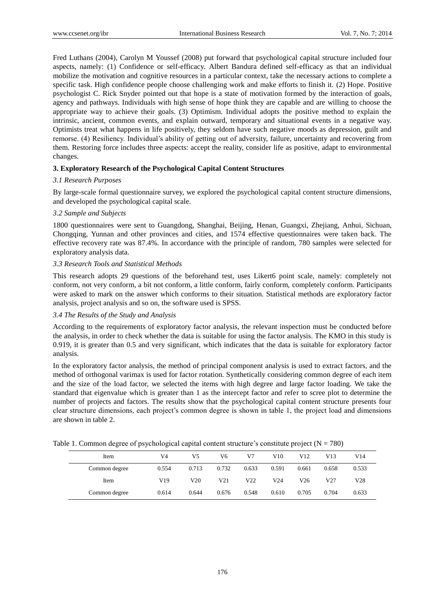Fred Luthans (2004), Carolyn M Youssef (2008) put forward that psychological capital structure included four aspects, namely: (1) Confidence or self-efficacy. Albert Bandura defined self-efficacy as that an individual mobilize the motivation and cognitive resources in a particular context, take the necessary actions to complete a specific task. High confidence people choose challenging work and make efforts to finish it. (2) Hope. Positive psychologist C. Rick Snyder pointed out that hope is a state of motivation formed by the interaction of goals, agency and pathways. Individuals with high sense of hope think they are capable and are willing to choose the appropriate way to achieve their goals. (3) Optimism. Individual adopts the positive method to explain the intrinsic, ancient, common events, and explain outward, temporary and situational events in a negative way. Optimists treat what happens in life positively, they seldom have such negative moods as depression, guilt and remorse. (4) Resiliency. Individual's ability of getting out of adversity, failure, uncertainty and recovering from them. Restoring force includes three aspects: accept the reality, consider life as positive, adapt to environmental changes.

## **3. Exploratory Research of the Psychological Capital Content Structures**

## *3.1 Research Purposes*

By large-scale formal questionnaire survey, we explored the psychological capital content structure dimensions, and developed the psychological capital scale.

# *3.2 Sample and Subjects*

1800 questionnaires were sent to Guangdong, Shanghai, Beijing, Henan, Guangxi, Zhejiang, Anhui, Sichuan, Chongqing, Yunnan and other provinces and cities, and 1574 effective questionnaires were taken back. The effective recovery rate was 87.4%. In accordance with the principle of random, 780 samples were selected for exploratory analysis data.

# *3.3 Research Tools and Statistical Methods*

This research adopts 29 questions of the beforehand test, uses Likert6 point scale, namely: completely not conform, not very conform, a bit not conform, a little conform, fairly conform, completely conform. Participants were asked to mark on the answer which conforms to their situation. Statistical methods are exploratory factor analysis, project analysis and so on, the software used is SPSS.

## *3.4 The Results of the Study and Analysis*

According to the requirements of exploratory factor analysis, the relevant inspection must be conducted before the analysis, in order to check whether the data is suitable for using the factor analysis. The KMO in this study is 0.919, it is greater than 0.5 and very significant, which indicates that the data is suitable for exploratory factor analysis.

In the exploratory factor analysis, the method of principal component analysis is used to extract factors, and the method of orthogonal varimax is used for factor rotation. Synthetically considering common degree of each item and the size of the load factor, we selected the items with high degree and large factor loading. We take the standard that eigenvalue which is greater than 1 as the intercept factor and refer to scree plot to determine the number of projects and factors. The results show that the psychological capital content structure presents four clear structure dimensions, each project's common degree is shown in table 1, the project load and dimensions are shown in table 2.

| ~<br>.        | $\overline{\phantom{0}}$ |       |       |                |                 | $\overline{\phantom{a}}$ |       |       |  |
|---------------|--------------------------|-------|-------|----------------|-----------------|--------------------------|-------|-------|--|
| Item          | V4                       | V5    | V6    | V <sub>7</sub> | V10             | V12                      | V13   | V14   |  |
| Common degree | 0.554                    | 0.713 | 0.732 | 0.633          | 0.591           | 0.661                    | 0.658 | 0.533 |  |
| Item          | V19                      | V20   | V21   | V22            | V <sub>24</sub> | V26                      | V27   | V28   |  |
| Common degree | 0.614                    | 0.644 | 0.676 | 0.548          | 0.610           | 0.705                    | 0.704 | 0.633 |  |

Table 1. Common degree of psychological capital content structure's constitute project ( $N = 780$ )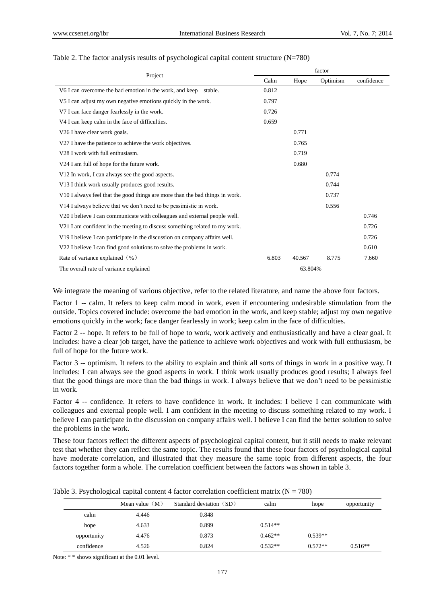|                                                                              |       |         | factor   |            |
|------------------------------------------------------------------------------|-------|---------|----------|------------|
| Project                                                                      | Calm  | Hope    | Optimism | confidence |
| V6 I can overcome the bad emotion in the work, and keep stable.              | 0.812 |         |          |            |
| V5 I can adjust my own negative emotions quickly in the work.                | 0.797 |         |          |            |
| V7 I can face danger fearlessly in the work.                                 | 0.726 |         |          |            |
| V4 I can keep calm in the face of difficulties.                              | 0.659 |         |          |            |
| V26 I have clear work goals.                                                 |       | 0.771   |          |            |
| V27 I have the patience to achieve the work objectives.                      |       | 0.765   |          |            |
| V28 I work with full enthusiasm.                                             |       | 0.719   |          |            |
| V24 I am full of hope for the future work.                                   |       | 0.680   |          |            |
| V12 In work, I can always see the good aspects.                              |       |         | 0.774    |            |
| V13 I think work usually produces good results.                              |       |         | 0.744    |            |
| V10 I always feel that the good things are more than the bad things in work. |       |         | 0.737    |            |
| V14 I always believe that we don't need to be pessimistic in work.           |       |         | 0.556    |            |
| V20 I believe I can communicate with colleagues and external people well.    |       |         |          | 0.746      |
| V21 I am confident in the meeting to discuss something related to my work.   |       |         |          | 0.726      |
| V19 I believe I can participate in the discussion on company affairs well.   |       |         |          | 0.726      |
| V22 I believe I can find good solutions to solve the problems in work.       |       |         |          | 0.610      |
| Rate of variance explained (%)                                               | 6.803 | 40.567  | 8.775    | 7.660      |
| The overall rate of variance explained                                       |       | 63.804% |          |            |

### Table 2. The factor analysis results of psychological capital content structure (N=780)

We integrate the meaning of various objective, refer to the related literature, and name the above four factors.

Factor 1 -- calm. It refers to keep calm mood in work, even if encountering undesirable stimulation from the outside. Topics covered include: overcome the bad emotion in the work, and keep stable; adjust my own negative emotions quickly in the work; face danger fearlessly in work; keep calm in the face of difficulties.

Factor 2 -- hope. It refers to be full of hope to work, work actively and enthusiastically and have a clear goal. It includes: have a clear job target, have the patience to achieve work objectives and work with full enthusiasm, be full of hope for the future work.

Factor 3 -- optimism. It refers to the ability to explain and think all sorts of things in work in a positive way. It includes: I can always see the good aspects in work. I think work usually produces good results; I always feel that the good things are more than the bad things in work. I always believe that we don't need to be pessimistic in work.

Factor 4 -- confidence. It refers to have confidence in work. It includes: I believe I can communicate with colleagues and external people well. I am confident in the meeting to discuss something related to my work. I believe I can participate in the discussion on company affairs well. I believe I can find the better solution to solve the problems in the work.

These four factors reflect the different aspects of psychological capital content, but it still needs to make relevant test that whether they can reflect the same topic. The results found that these four factors of psychological capital have moderate correlation, and illustrated that they measure the same topic from different aspects, the four factors together form a whole. The correlation coefficient between the factors was shown in table 3.

Table 3. Psychological capital content 4 factor correlation coefficient matrix  $(N = 780)$ 

|             | Mean value $(M)$ | Standard deviation (SD) | calm      | hope      | opportunity |
|-------------|------------------|-------------------------|-----------|-----------|-------------|
| calm        | 4.446            | 0.848                   |           |           |             |
| hope        | 4.633            | 0.899                   | $0.514**$ |           |             |
| opportunity | 4.476            | 0.873                   | $0.462**$ | $0.539**$ |             |
| confidence  | 4.526            | 0.824                   | $0.532**$ | $0.572**$ | $0.516**$   |

Note: \* \* shows significant at the 0.01 level.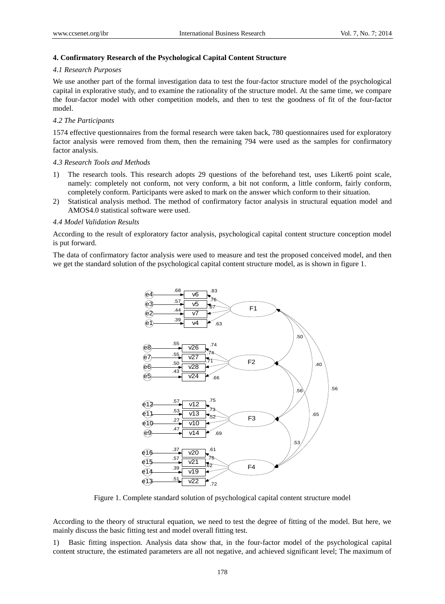#### **4. Confirmatory Research of the Psychological Capital Content Structure**

## *4.1 Research Purposes*

We use another part of the formal investigation data to test the four-factor structure model of the psychological capital in explorative study, and to examine the rationality of the structure model. At the same time, we compare the four-factor model with other competition models, and then to test the goodness of fit of the four-factor model.

### *4.2 The Participants*

1574 effective questionnaires from the formal research were taken back, 780 questionnaires used for exploratory factor analysis were removed from them, then the remaining 794 were used as the samples for confirmatory factor analysis.

#### *4.3 Research Tools and Methods*

- 1) The research tools. This research adopts 29 questions of the beforehand test, uses Likert6 point scale, namely: completely not conform, not very conform, a bit not conform, a little conform, fairly conform, completely conform. Participants were asked to mark on the answer which conform to their situation.
- 2) Statistical analysis method. The method of confirmatory factor analysis in structural equation model and AMOS4.0 statistical software were used.

#### *4.4 Model Validation Results*

According to the result of exploratory factor analysis, psychological capital content structure conception model is put forward.

The data of confirmatory factor analysis were used to measure and test the proposed conceived model, and then we get the standard solution of the psychological capital content structure model, as is shown in figure 1.



Figure 1. Complete standard solution of psychological capital content structure model

According to the theory of structural equation, we need to test the degree of fitting of the model. But here, we mainly discuss the basic fitting test and model overall fitting test.

1) Basic fitting inspection. Analysis data show that, in the four-factor model of the psychological capital content structure, the estimated parameters are all not negative, and achieved significant level; The maximum of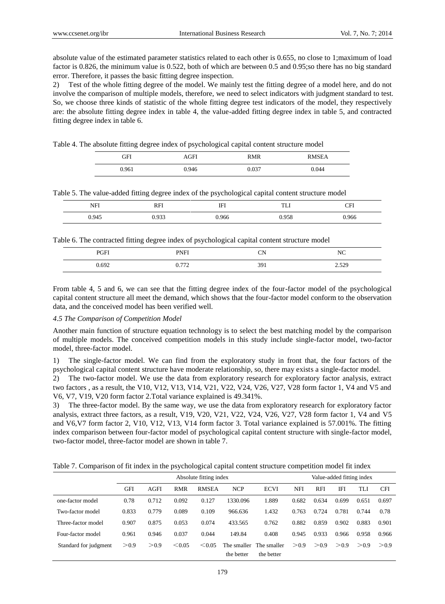absolute value of the estimated parameter statistics related to each other is 0.655, no close to 1;maximum of load factor is 0.826, the minimum value is 0.522, both of which are between 0.5 and 0.95;so there has no big standard error. Therefore, it passes the basic fitting degree inspection.

2) Test of the whole fitting degree of the model. We mainly test the fitting degree of a model here, and do not involve the comparison of multiple models, therefore, we need to select indicators with judgment standard to test. So, we choose three kinds of statistic of the whole fitting degree test indicators of the model, they respectively are: the absolute fitting degree index in table 4, the value-added fitting degree index in table 5, and contracted fitting degree index in table 6.

Table 4. The absolute fitting degree index of psychological capital content structure model

| GFI   | AGFI  | <b>RMR</b> | <b>RMSEA</b> |
|-------|-------|------------|--------------|
| 0.961 | 0.946 | 0.037      | 0.044        |

Table 5. The value-added fitting degree index of the psychological capital content structure model

| NFI   | RFI   | <b>IFI</b><br>-- | <b>THE</b><br>⊥∟⊥ | CFI   |
|-------|-------|------------------|-------------------|-------|
| 0.945 | 0.933 | 0.966            | 0.958             | 0.966 |

Table 6. The contracted fitting degree index of psychological capital content structure model

| PGFI  | <b>PNFI</b> | $\cap$ N<br>w | NC    |
|-------|-------------|---------------|-------|
| 0.692 | 0.772       | 391           | 2.529 |

From table 4, 5 and 6, we can see that the fitting degree index of the four-factor model of the psychological capital content structure all meet the demand, which shows that the four-factor model conform to the observation data, and the conceived model has been verified well.

## *4.5 The Comparison of Competition Model*

Another main function of structure equation technology is to select the best matching model by the comparison of multiple models. The conceived competition models in this study include single-factor model, two-factor model, three-factor model.

1) The single-factor model. We can find from the exploratory study in front that, the four factors of the psychological capital content structure have moderate relationship, so, there may exists a single-factor model.

2) The two-factor model. We use the data from exploratory research for exploratory factor analysis, extract two factors , as a result, the V10, V12, V13, V14, V21, V22, V24, V26, V27, V28 form factor 1, V4 and V5 and V6, V7, V19, V20 form factor 2.Total variance explained is 49.341%.

3) The three-factor model. By the same way, we use the data from exploratory research for exploratory factor analysis, extract three factors, as a result, V19, V20, V21, V22, V24, V26, V27, V28 form factor 1, V4 and V5 and V6,V7 form factor 2, V10, V12, V13, V14 form factor 3. Total variance explained is 57.001%. The fitting index comparison between four-factor model of psychological capital content structure with single-factor model, two-factor model, three-factor model are shown in table 7.

Table 7. Comparison of fit index in the psychological capital content structure competition model fit index

|                       |            | Absolute fitting index |            |              |             |             |            |            | Value-added fitting index |       |            |
|-----------------------|------------|------------------------|------------|--------------|-------------|-------------|------------|------------|---------------------------|-------|------------|
|                       | <b>GFI</b> | <b>AGFI</b>            | <b>RMR</b> | <b>RMSEA</b> | <b>NCP</b>  | <b>ECVI</b> | <b>NFI</b> | <b>RFI</b> | IFI                       | TLI   | <b>CFI</b> |
| one-factor model      | 0.78       | 0.712                  | 0.092      | 0.127        | 1330.096    | 1.889       | 0.682      | 0.634      | 0.699                     | 0.651 | 0.697      |
| Two-factor model      | 0.833      | 0.779                  | 0.089      | 0.109        | 966.636     | l.432       | 0.763      | 0.724      | 0.781                     | 0.744 | 0.78       |
| Three-factor model    | 0.907      | 0.875                  | 0.053      | 0.074        | 433.565     | 0.762       | 0.882      | 0.859      | 0.902                     | 0.883 | 0.901      |
| Four-factor model     | 0.961      | 0.946                  | 0.037      | 0.044        | 149.84      | 0.408       | 0.945      | 0.933      | 0.966                     | 0.958 | 0.966      |
| Standard for judgment | > 0.9      | > 0.9                  | < 0.05     | < 0.05       | The smaller | The smaller | > 0.9      | > 0.9      | > 0.9                     | > 0.9 | > 0.9      |
|                       |            |                        |            |              | the better  | the better  |            |            |                           |       |            |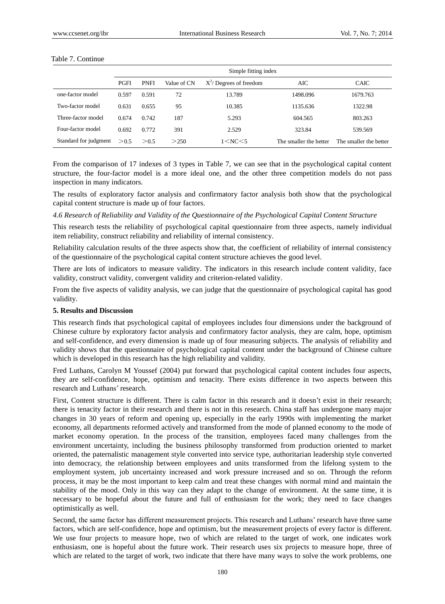|                       | Simple fitting index |             |             |                          |                        |                        |  |  |
|-----------------------|----------------------|-------------|-------------|--------------------------|------------------------|------------------------|--|--|
|                       | <b>PGFI</b>          | <b>PNFI</b> | Value of CN | $X^2$ Degrees of freedom | AIC                    | <b>CAIC</b>            |  |  |
| one-factor model      | 0.597                | 0.591       | 72          | 13.789                   | 1498.096               | 1679.763               |  |  |
| Two-factor model      | 0.631                | 0.655       | 95          | 10.385                   | 1135.636               | 1322.98                |  |  |
| Three-factor model    | 0.674                | 0.742       | 187         | 5.293                    | 604.565                | 803.263                |  |  |
| Four-factor model     | 0.692                | 0.772       | 391         | 2.529                    | 323.84                 | 539.569                |  |  |
| Standard for judgment | > 0.5                | > 0.5       | >250        | $\leq$ NC $\leq$ 5       | The smaller the better | The smaller the better |  |  |

#### Table 7. Continue

From the comparison of 17 indexes of 3 types in Table 7, we can see that in the psychological capital content structure, the four-factor model is a more ideal one, and the other three competition models do not pass inspection in many indicators.

The results of exploratory factor analysis and confirmatory factor analysis both show that the psychological capital content structure is made up of four factors.

*4.6 Research of Reliability and Validity of the Questionnaire of the Psychological Capital Content Structure*

This research tests the reliability of psychological capital questionnaire from three aspects, namely individual item reliability, construct reliability and reliability of internal consistency.

Reliability calculation results of the three aspects show that, the coefficient of reliability of internal consistency of the questionnaire of the psychological capital content structure achieves the good level.

There are lots of indicators to measure validity. The indicators in this research include content validity, face validity, construct validity, convergent validity and criterion-related validity.

From the five aspects of validity analysis, we can judge that the questionnaire of psychological capital has good validity.

## **5. Results and Discussion**

This research finds that psychological capital of employees includes four dimensions under the background of Chinese culture by exploratory factor analysis and confirmatory factor analysis, they are calm, hope, optimism and self-confidence, and every dimension is made up of four measuring subjects. The analysis of reliability and validity shows that the questionnaire of psychological capital content under the background of Chinese culture which is developed in this research has the high reliability and validity.

Fred Luthans, Carolyn M Youssef (2004) put forward that psychological capital content includes four aspects, they are self-confidence, hope, optimism and tenacity. There exists difference in two aspects between this research and Luthans' research.

First, Content structure is different. There is calm factor in this research and it doesn't exist in their research; there is tenacity factor in their research and there is not in this research. China staff has undergone many major changes in 30 years of reform and opening up, especially in the early 1990s with implementing the market economy, all departments reformed actively and transformed from the mode of planned economy to the mode of market economy operation. In the process of the transition, employees faced many challenges from the environment uncertainty, including the business philosophy transformed from production oriented to market oriented, the paternalistic management style converted into service type, authoritarian leadership style converted into democracy, the relationship between employees and units transformed from the lifelong system to the employment system, job uncertainty increased and work pressure increased and so on. Through the reform process, it may be the most important to keep calm and treat these changes with normal mind and maintain the stability of the mood. Only in this way can they adapt to the change of environment. At the same time, it is necessary to be hopeful about the future and full of enthusiasm for the work; they need to face changes optimistically as well.

Second, the same factor has different measurement projects. This research and Luthans' research have three same factors, which are self-confidence, hope and optimism, but the measurement projects of every factor is different. We use four projects to measure hope, two of which are related to the target of work, one indicates work enthusiasm, one is hopeful about the future work. Their research uses six projects to measure hope, three of which are related to the target of work, two indicate that there have many ways to solve the work problems, one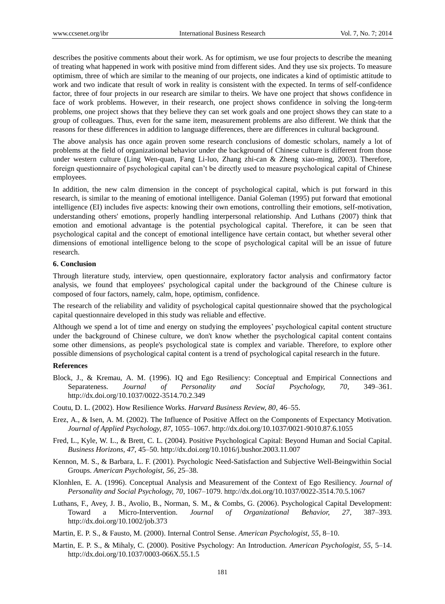describes the positive comments about their work. As for optimism, we use four projects to describe the meaning of treating what happened in work with positive mind from different sides. And they use six projects. To measure optimism, three of which are similar to the meaning of our projects, one indicates a kind of optimistic attitude to work and two indicate that result of work in reality is consistent with the expected. In terms of self-confidence factor, three of four projects in our research are similar to theirs. We have one project that shows confidence in face of work problems. However, in their research, one project shows confidence in solving the long-term problems, one project shows that they believe they can set work goals and one project shows they can state to a group of colleagues. Thus, even for the same item, measurement problems are also different. We think that the reasons for these differences in addition to language differences, there are differences in cultural background.

The above analysis has once again proven some research conclusions of domestic scholars, namely a lot of problems at the field of organizational behavior under the background of Chinese culture is different from those under western culture (Ling Wen-quan, Fang Li-luo, Zhang zhi-can & Zheng xiao-ming, 2003). Therefore, foreign questionnaire of psychological capital can't be directly used to measure psychological capital of Chinese employees.

In addition, the new calm dimension in the concept of psychological capital, which is put forward in this research, is similar to the meaning of emotional intelligence. Danial Goleman (1995) put forward that emotional intelligence (EI) includes five aspects: knowing their own emotions, controlling their emotions, self-motivation, understanding others' emotions, properly handling interpersonal relationship. And Luthans (2007) think that emotion and emotional advantage is the potential psychological capital. Therefore, it can be seen that psychological capital and the concept of emotional intelligence have certain contact, but whether several other dimensions of emotional intelligence belong to the scope of psychological capital will be an issue of future research.

## **6. Conclusion**

Through literature study, interview, open questionnaire, exploratory factor analysis and confirmatory factor analysis, we found that employees' psychological capital under the background of the Chinese culture is composed of four factors, namely, calm, hope, optimism, confidence.

The research of the reliability and validity of psychological capital questionnaire showed that the psychological capital questionnaire developed in this study was reliable and effective.

Although we spend a lot of time and energy on studying the employees' psychological capital content structure under the background of Chinese culture, we don't know whether the psychological capital content contains some other dimensions, as people's psychological state is complex and variable. Therefore, to explore other possible dimensions of psychological capital content is a trend of psychological capital research in the future.

## **References**

- Block, J., & Kremau, A. M. (1996). IQ and Ego Resiliency: Conceptual and Empirical Connections and Separateness. *Journal of Personality and Social Psychology, 70*, 349–361. http://dx.doi.org/10.1037/0022-3514.70.2.349
- Coutu, D. L. (2002). How Resilience Works. *Harvard Business Review, 80*, 46–55.
- Erez, A., & Isen, A. M. (2002). The Influence of Positive Affect on the Components of Expectancy Motivation. *Journal of Applied Psychology, 87*, 1055–1067. http://dx.doi.org/10.1037/0021-9010.87.6.1055
- Fred, L., Kyle, W. L., & Brett, C. L. (2004). Positive Psychological Capital: Beyond Human and Social Capital. *Business Horizons, 47*, 45–50. http://dx.doi.org/10.1016/j.bushor.2003.11.007
- Kennon, M. S., & Barbara, L. F. (2001). Psychologic Need-Satisfaction and Subjective Well-Beingwithin Social Groups. *American Psychologist, 56*, 25–38.
- Klonhlen, E. A. (1996). Conceptual Analysis and Measurement of the Context of Ego Resiliency. *Journal of Personality and Social Psychology, 70*, 1067–1079. http://dx.doi.org/10.1037/0022-3514.70.5.1067
- Luthans, F., Avey, J. B., Avolio, B., Norman, S. M., & Combs, G. (2006). Psychological Capital Development: Toward a Micro-Intervention. *Journal of Organizational Behavior, 27*, 387–393. http://dx.doi.org/10.1002/job.373
- Martin, E. P. S., & Fausto, M. (2000). Internal Control Sense. *American Psychologist, 55*, 8–10.
- Martin, E. P. S., & Mihaly, C. (2000). Positive Psychology: An Introduction. *American Psychologist, 55*, 5–14. http://dx.doi.org/10.1037/0003-066X.55.1.5